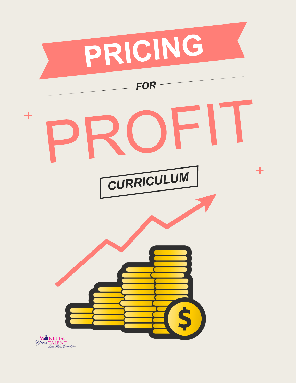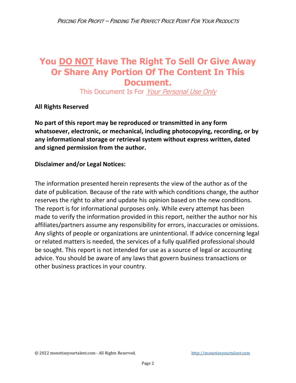## **You DO NOT Have The Right To Sell Or Give Away Or Share Any Portion Of The Content In This Document.**

This Document Is For Your Personal Use Only

**All Rights Reserved**

**No part of this report may be reproduced or transmitted in any form whatsoever, electronic, or mechanical, including photocopying, recording, or by any informational storage or retrieval system without express written, dated and signed permission from the author.** 

#### **Disclaimer and/or Legal Notices:**

The information presented herein represents the view of the author as of the date of publication. Because of the rate with which conditions change, the author reserves the right to alter and update his opinion based on the new conditions. The report is for informational purposes only. While every attempt has been made to verify the information provided in this report, neither the author nor his affiliates/partners assume any responsibility for errors, inaccuracies or omissions. Any slights of people or organizations are unintentional. If advice concerning legal or related matters is needed, the services of a fully qualified professional should be sought. This report is not intended for use as a source of legal or accounting advice. You should be aware of any laws that govern business transactions or other business practices in your country.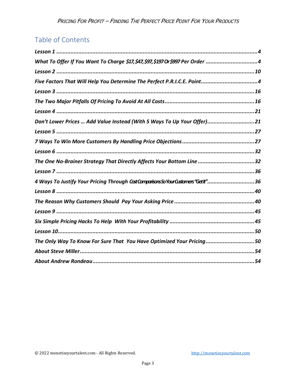## Table of Contents

| What To Offer If You Want To Charge \$17, \$47, \$97, \$197 Or \$997 Per Order 4 |
|----------------------------------------------------------------------------------|
|                                                                                  |
| Five Factors That Will Help You Determine The Perfect P.R.I.C.E. Point4          |
|                                                                                  |
|                                                                                  |
|                                                                                  |
| Don't Lower Prices  Add Value Instead (With 5 Ways To Up Your Offer)21           |
|                                                                                  |
|                                                                                  |
|                                                                                  |
| The One No-Brainer Strategy That Directly Affects Your Bottom Line 32            |
|                                                                                  |
| 4 Ways To Justify Your Pricing Through CostComparisonsSoYourCustomers"GetIt"36   |
|                                                                                  |
|                                                                                  |
|                                                                                  |
|                                                                                  |
|                                                                                  |
| The Only Way To Know For Sure That You Have Optimized Your Pricing50             |
|                                                                                  |
|                                                                                  |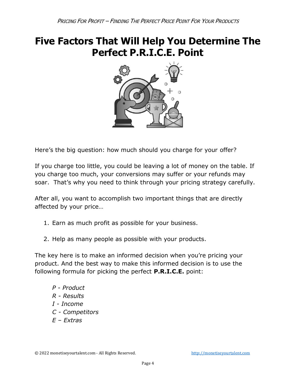# <span id="page-3-0"></span>**Five Factors That Will Help You Determine The Perfect P.R.I.C.E. Point**



Here's the big question: how much should you charge for your offer?

If you charge too little, you could be leaving a lot of money on the table. If you charge too much, your conversions may suffer or your refunds may soar. That's why you need to think through your pricing strategy carefully.

After all, you want to accomplish two important things that are directly affected by your price…

- 1. Earn as much profit as possible for your business.
- 2. Help as many people as possible with your products.

The key here is to make an informed decision when you're pricing your product. And the best way to make this informed decision is to use the following formula for picking the perfect **P.R.I.C.E.** point:

*P - Product R - Results I - Income C - Competitors E – Extras*

© 2022 monetiseyourtalent.com - All Rights Reserved. [http://monetiseyourtalent.com](http://monetiseyourtalent.com/)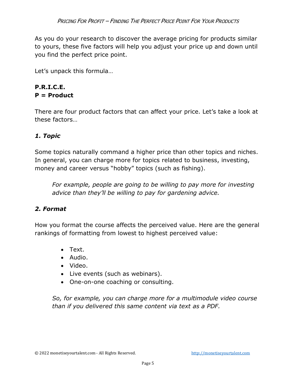As you do your research to discover the average pricing for products similar to yours, these five factors will help you adjust your price up and down until you find the perfect price point.

Let's unpack this formula…

#### **P.R.I.C.E. P = Product**

There are four product factors that can affect your price. Let's take a look at these factors…

#### *1. Topic*

Some topics naturally command a higher price than other topics and niches. In general, you can charge more for topics related to business, investing, money and career versus "hobby" topics (such as fishing).

*For example, people are going to be willing to pay more for investing advice than they'll be willing to pay for gardening advice.* 

#### *2. Format*

How you format the course affects the perceived value. Here are the general rankings of formatting from lowest to highest perceived value:

- Text.
- Audio.
- Video.
- Live events (such as webinars).
- One-on-one coaching or consulting.

*So, for example, you can charge more for a multimodule video course than if you delivered this same content via text as a PDF.*

<sup>©</sup> 2022 monetiseyourtalent.com - All Rights Reserved. [http://monetiseyourtalent.com](http://monetiseyourtalent.com/)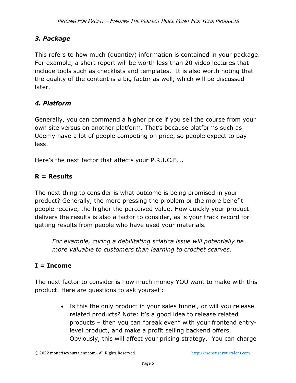#### *3. Package*

This refers to how much (quantity) information is contained in your package. For example, a short report will be worth less than 20 video lectures that include tools such as checklists and templates. It is also worth noting that the quality of the content is a big factor as well, which will be discussed later.

#### *4. Platform*

Generally, you can command a higher price if you sell the course from your own site versus on another platform. That's because platforms such as Udemy have a lot of people competing on price, so people expect to pay less.

Here's the next factor that affects your P.R.I.C.E….

#### **R = Results**

The next thing to consider is what outcome is being promised in your product? Generally, the more pressing the problem or the more benefit people receive, the higher the perceived value. How quickly your product delivers the results is also a factor to consider, as is your track record for getting results from people who have used your materials.

*For example, curing a debilitating sciatica issue will potentially be more valuable to customers than learning to crochet scarves.* 

#### **I = Income**

The next factor to consider is how much money YOU want to make with this product. Here are questions to ask yourself:

> • Is this the only product in your sales funnel, or will you release related products? Note: it's a good idea to release related products – then you can "break even" with your frontend entrylevel product, and make a profit selling backend offers. Obviously, this will affect your pricing strategy. You can charge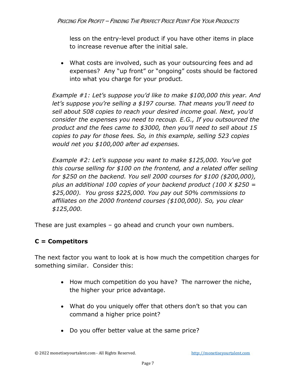less on the entry-level product if you have other items in place to increase revenue after the initial sale.

• What costs are involved, such as your outsourcing fees and ad expenses? Any "up front" or "ongoing" costs should be factored into what you charge for your product.

*Example #1: Let's suppose you'd like to make \$100,000 this year. And let's suppose you're selling a \$197 course. That means you'll need to sell about 508 copies to reach your desired income goal. Next, you'd consider the expenses you need to recoup. E.G., If you outsourced the product and the fees came to \$3000, then you'll need to sell about 15 copies to pay for those fees. So, in this example, selling 523 copies would net you \$100,000 after ad expenses.*

*Example #2: Let's suppose you want to make \$125,000. You've got this course selling for \$100 on the frontend, and a related offer selling for \$250 on the backend. You sell 2000 courses for \$100 (\$200,000), plus an additional 100 copies of your backend product (100 X \$250 = \$25,000). You gross \$225,000. You pay out 50% commissions to affiliates on the 2000 frontend courses (\$100,000). So, you clear \$125,000.*

These are just examples – go ahead and crunch your own numbers.

#### **C = Competitors**

The next factor you want to look at is how much the competition charges for something similar. Consider this:

- How much competition do you have? The narrower the niche, the higher your price advantage.
- What do you uniquely offer that others don't so that you can command a higher price point?
- Do you offer better value at the same price?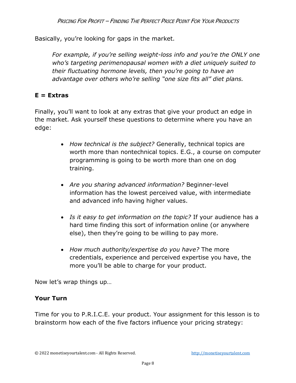Basically, you're looking for gaps in the market.

*For example, if you're selling weight-loss info and you're the ONLY one who's targeting perimenopausal women with a diet uniquely suited to their fluctuating hormone levels, then you're going to have an advantage over others who're selling "one size fits all" diet plans.*

#### **E = Extras**

Finally, you'll want to look at any extras that give your product an edge in the market. Ask yourself these questions to determine where you have an edge:

- *How technical is the subject?* Generally, technical topics are worth more than nontechnical topics. E.G., a course on computer programming is going to be worth more than one on dog training.
- *Are you sharing advanced information?* Beginner-level information has the lowest perceived value, with intermediate and advanced info having higher values.
- *Is it easy to get information on the topic?* If your audience has a hard time finding this sort of information online (or anywhere else), then they're going to be willing to pay more.
- *How much authority/expertise do you have?* The more credentials, experience and perceived expertise you have, the more you'll be able to charge for your product.

Now let's wrap things up…

#### **Your Turn**

Time for you to P.R.I.C.E. your product. Your assignment for this lesson is to brainstorm how each of the five factors influence your pricing strategy: